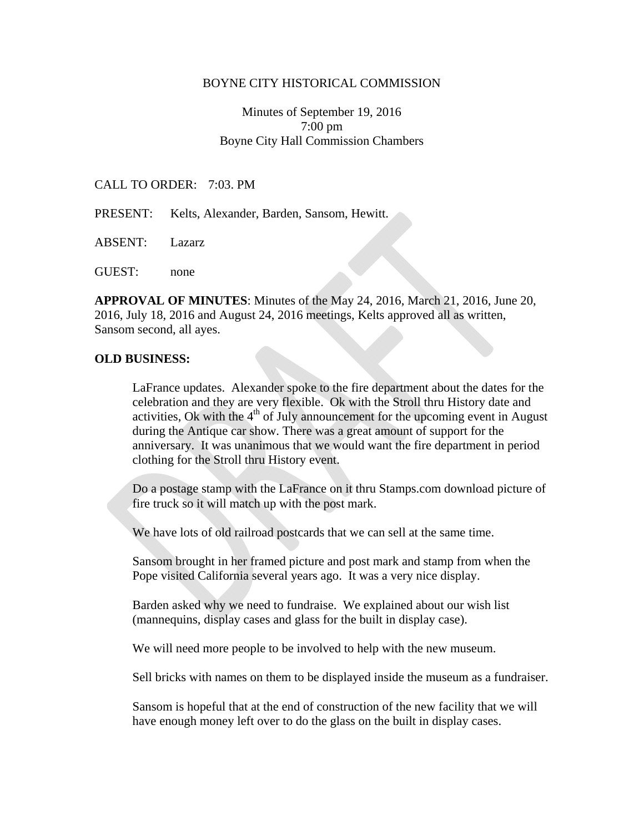#### BOYNE CITY HISTORICAL COMMISSION

## Minutes of September 19, 2016 7:00 pm Boyne City Hall Commission Chambers

#### CALL TO ORDER: 7:03. PM

PRESENT: Kelts, Alexander, Barden, Sansom, Hewitt.

ABSENT: Lazarz

GUEST: none

**APPROVAL OF MINUTES**: Minutes of the May 24, 2016, March 21, 2016, June 20, 2016, July 18, 2016 and August 24, 2016 meetings, Kelts approved all as written, Sansom second, all ayes.

#### **OLD BUSINESS:**

LaFrance updates. Alexander spoke to the fire department about the dates for the celebration and they are very flexible. Ok with the Stroll thru History date and activities, Ok with the  $4<sup>th</sup>$  of July announcement for the upcoming event in August during the Antique car show. There was a great amount of support for the anniversary. It was unanimous that we would want the fire department in period clothing for the Stroll thru History event.

Do a postage stamp with the LaFrance on it thru Stamps.com download picture of fire truck so it will match up with the post mark.

We have lots of old railroad postcards that we can sell at the same time.

Sansom brought in her framed picture and post mark and stamp from when the Pope visited California several years ago. It was a very nice display.

Barden asked why we need to fundraise. We explained about our wish list (mannequins, display cases and glass for the built in display case).

We will need more people to be involved to help with the new museum.

Sell bricks with names on them to be displayed inside the museum as a fundraiser.

Sansom is hopeful that at the end of construction of the new facility that we will have enough money left over to do the glass on the built in display cases.